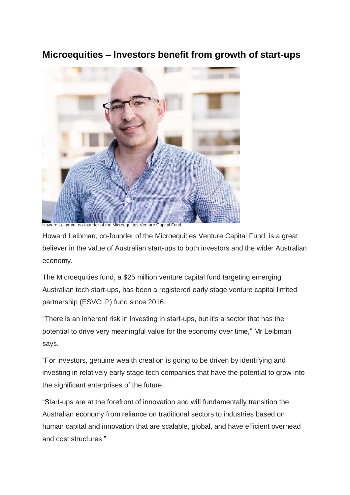## **Microequities – Investors benefit from growth of start-ups**



Howard Leibman, co-founder of the Microequities Venture Capital Fund.

Howard Leibman, co-founder of the Microequities Venture Capital Fund, is a great believer in the value of Australian start-ups to both investors and the wider Australian economy.

The Microequities fund, a \$25 million venture capital fund targeting emerging Australian tech start-ups, has been a registered early stage venture capital limited partnership (ESVCLP) fund since 2016.

"There is an inherent risk in investing in start-ups, but it's a sector that has the potential to drive very meaningful value for the economy over time," Mr Leibman says.

"For investors, genuine wealth creation is going to be driven by identifying and investing in relatively early stage tech companies that have the potential to grow into the significant enterprises of the future.

"Start-ups are at the forefront of innovation and will fundamentally transition the Australian economy from reliance on traditional sectors to industries based on human capital and innovation that are scalable, global, and have efficient overhead and cost structures."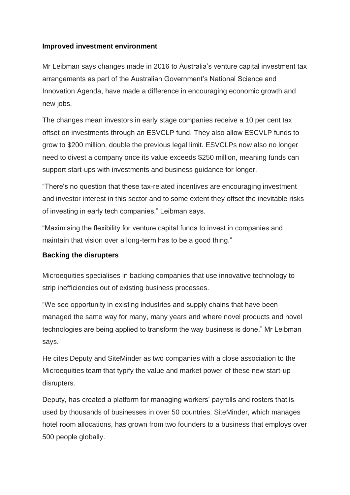## **Improved investment environment**

Mr Leibman says changes made in 2016 to Australia's venture capital investment tax arrangements as part of the Australian Government's National Science and Innovation Agenda, have made a difference in encouraging economic growth and new jobs.

The changes mean investors in early stage companies receive a 10 per cent tax offset on investments through an ESVCLP fund. They also allow ESCVLP funds to grow to \$200 million, double the previous legal limit. ESVCLPs now also no longer need to divest a company once its value exceeds \$250 million, meaning funds can support start-ups with investments and business guidance for longer.

"There's no question that these tax-related incentives are encouraging investment and investor interest in this sector and to some extent they offset the inevitable risks of investing in early tech companies," Leibman says.

"Maximising the flexibility for venture capital funds to invest in companies and maintain that vision over a long-term has to be a good thing."

## **Backing the disrupters**

Microequities specialises in backing companies that use innovative technology to strip inefficiencies out of existing business processes.

"We see opportunity in existing industries and supply chains that have been managed the same way for many, many years and where novel products and novel technologies are being applied to transform the way business is done," Mr Leibman says.

He cites Deputy and SiteMinder as two companies with a close association to the Microequities team that typify the value and market power of these new start-up disrupters.

Deputy, has created a platform for managing workers' payrolls and rosters that is used by thousands of businesses in over 50 countries. SiteMinder, which manages hotel room allocations, has grown from two founders to a business that employs over 500 people globally.